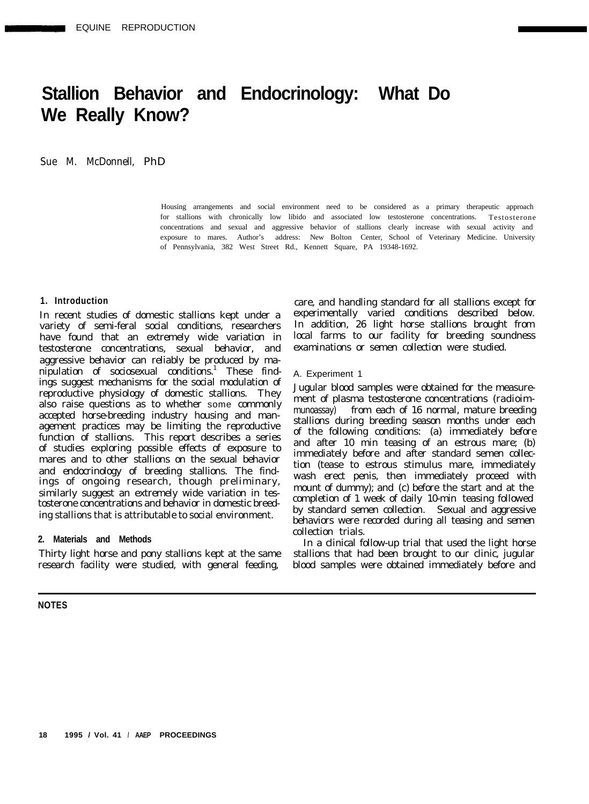# **Stallion Behavior and Endocrinology: What Do We Really Know?**

Sue M. McDonnell, PhD

Housing arrangements and social environment need to be considered as a primary therapeutic approach for stallions with chronically low libido and associated low testosterone concentrations. Testosterone concentrations and sexual and aggressive behavior of stallions clearly increase with sexual activity and exposure to mares. Author's address: New Bolton Center, School of Veterinary Medicine. University of Pennsylvania, 382 West Street Rd., Kennett Square, PA 19348-1692.

# **1. Introduction**

In recent studies of domestic stallions kept under a variety of semi-feral social conditions, researchers have found that an extremely wide variation in testosterone concentrations, sexual behavior, and aggressive behavior can reliably be produced by manipulation of sociosexual conditions.<sup>1</sup> These findings suggest mechanisms for the social modulation of reproductive physiology of domestic stallions. They also raise questions as to whether some commonly accepted horse-breeding industry housing and management practices may be limiting the reproductive function of stallions. This report describes a series of studies exploring possible effects of exposure to mares and to other stallions on the sexual behavior and endocrinology of breeding stallions. The findings of ongoing research, though preliminary, similarly suggest an extremely wide variation in testosterone concentrations and behavior in domestic breeding stallions that is attributable to social environment.

#### **2. Materials and Methods**

Thirty light horse and pony stallions kept at the same research facility were studied, with general feeding,

**NOTES**

care, and handling standard for all stallions except for experimentally varied conditions described below. In addition, 26 light horse stallions brought from local farms to our facility for breeding soundness examinations or semen collection were studied.

#### A. Experiment 1

Jugular blood samples were obtained for the measurement of plasma testosterone concentrations (radioimmunoassay) from each of 16 normal, mature breeding stallions during breeding season months under each of the following conditions: (a) immediately before and after 10 min teasing of an estrous mare; (b) immediately before and after standard semen collection (tease to estrous stimulus mare, immediately wash erect penis, then immediately proceed with mount of dummy); and (c) before the start and at the completion of 1 week of daily 10-min teasing followed by standard semen collection. Sexual and aggressive behaviors were recorded during all teasing and semen collection trials.

In a clinical follow-up trial that used the light horse stallions that had been brought to our clinic, jugular blood samples were obtained immediately before and